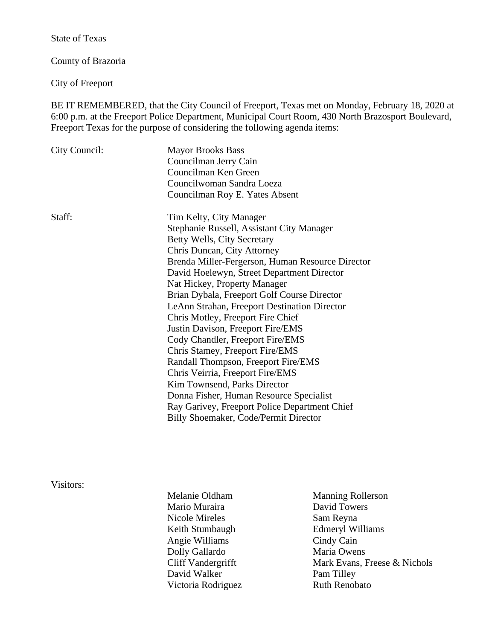State of Texas

County of Brazoria

City of Freeport

BE IT REMEMBERED, that the City Council of Freeport, Texas met on Monday, February 18, 2020 at 6:00 p.m. at the Freeport Police Department, Municipal Court Room, 430 North Brazosport Boulevard, Freeport Texas for the purpose of considering the following agenda items:

| City Council: | <b>Mayor Brooks Bass</b>                         |
|---------------|--------------------------------------------------|
|               | Councilman Jerry Cain                            |
|               | Councilman Ken Green                             |
|               | Councilwoman Sandra Loeza                        |
|               | Councilman Roy E. Yates Absent                   |
| Staff:        | Tim Kelty, City Manager                          |
|               | Stephanie Russell, Assistant City Manager        |
|               | Betty Wells, City Secretary                      |
|               | Chris Duncan, City Attorney                      |
|               | Brenda Miller-Fergerson, Human Resource Director |
|               | David Hoelewyn, Street Department Director       |
|               | Nat Hickey, Property Manager                     |
|               | Brian Dybala, Freeport Golf Course Director      |
|               | LeAnn Strahan, Freeport Destination Director     |
|               | Chris Motley, Freeport Fire Chief                |
|               | Justin Davison, Freeport Fire/EMS                |
|               | Cody Chandler, Freeport Fire/EMS                 |
|               | Chris Stamey, Freeport Fire/EMS                  |
|               | Randall Thompson, Freeport Fire/EMS              |
|               | Chris Veirria, Freeport Fire/EMS                 |
|               | Kim Townsend, Parks Director                     |
|               | Donna Fisher, Human Resource Specialist          |
|               | Ray Garivey, Freeport Police Department Chief    |
|               | Billy Shoemaker, Code/Permit Director            |
|               |                                                  |

Visitors:

- Melanie Oldham Manning Rollerson Mario Muraira **David Towers** Nicole Mireles Sam Reyna Keith Stumbaugh Edmeryl Williams Angie Williams Cindy Cain Dolly Gallardo Maria Owens David Walker Pam Tilley Victoria Rodriguez Ruth Renobato
- Cliff Vandergrifft Mark Evans, Freese & Nichols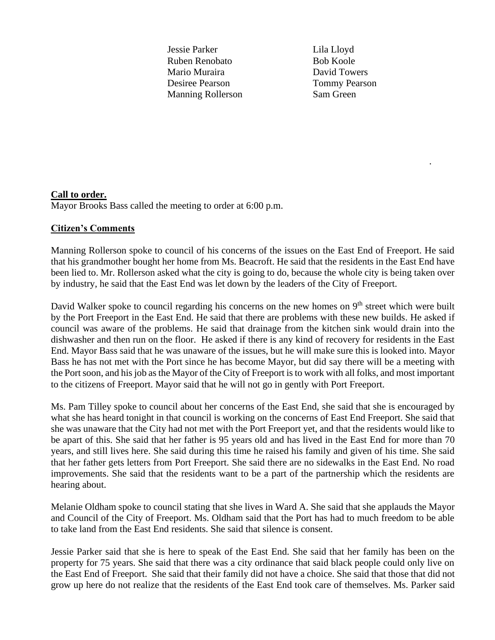Jessie Parker Lila Lloyd Ruben Renobato Bob Koole Mario Muraira **David Towers** Desiree Pearson Tommy Pearson Manning Rollerson Sam Green

.

## **Call to order.**

Mayor Brooks Bass called the meeting to order at 6:00 p.m.

## **Citizen's Comments**

Manning Rollerson spoke to council of his concerns of the issues on the East End of Freeport. He said that his grandmother bought her home from Ms. Beacroft. He said that the residents in the East End have been lied to. Mr. Rollerson asked what the city is going to do, because the whole city is being taken over by industry, he said that the East End was let down by the leaders of the City of Freeport.

David Walker spoke to council regarding his concerns on the new homes on 9<sup>th</sup> street which were built by the Port Freeport in the East End. He said that there are problems with these new builds. He asked if council was aware of the problems. He said that drainage from the kitchen sink would drain into the dishwasher and then run on the floor. He asked if there is any kind of recovery for residents in the East End. Mayor Bass said that he was unaware of the issues, but he will make sure this is looked into. Mayor Bass he has not met with the Port since he has become Mayor, but did say there will be a meeting with the Port soon, and his job as the Mayor of the City of Freeport is to work with all folks, and most important to the citizens of Freeport. Mayor said that he will not go in gently with Port Freeport.

Ms. Pam Tilley spoke to council about her concerns of the East End, she said that she is encouraged by what she has heard tonight in that council is working on the concerns of East End Freeport. She said that she was unaware that the City had not met with the Port Freeport yet, and that the residents would like to be apart of this. She said that her father is 95 years old and has lived in the East End for more than 70 years, and still lives here. She said during this time he raised his family and given of his time. She said that her father gets letters from Port Freeport. She said there are no sidewalks in the East End. No road improvements. She said that the residents want to be a part of the partnership which the residents are hearing about.

Melanie Oldham spoke to council stating that she lives in Ward A. She said that she applauds the Mayor and Council of the City of Freeport. Ms. Oldham said that the Port has had to much freedom to be able to take land from the East End residents. She said that silence is consent.

Jessie Parker said that she is here to speak of the East End. She said that her family has been on the property for 75 years. She said that there was a city ordinance that said black people could only live on the East End of Freeport. She said that their family did not have a choice. She said that those that did not grow up here do not realize that the residents of the East End took care of themselves. Ms. Parker said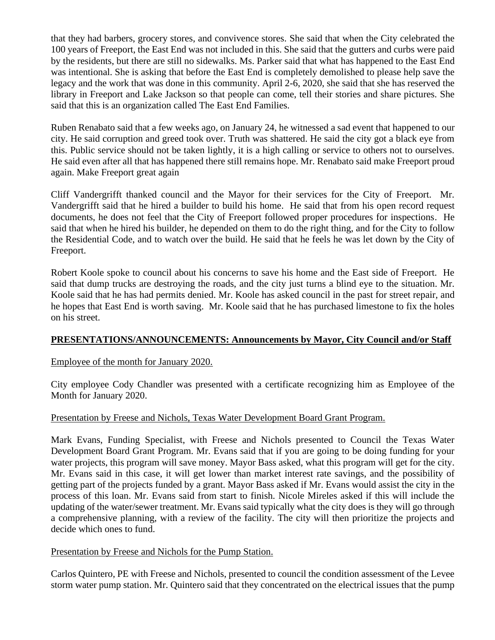that they had barbers, grocery stores, and convivence stores. She said that when the City celebrated the 100 years of Freeport, the East End was not included in this. She said that the gutters and curbs were paid by the residents, but there are still no sidewalks. Ms. Parker said that what has happened to the East End was intentional. She is asking that before the East End is completely demolished to please help save the legacy and the work that was done in this community. April 2-6, 2020, she said that she has reserved the library in Freeport and Lake Jackson so that people can come, tell their stories and share pictures. She said that this is an organization called The East End Families.

Ruben Renabato said that a few weeks ago, on January 24, he witnessed a sad event that happened to our city. He said corruption and greed took over. Truth was shattered. He said the city got a black eye from this. Public service should not be taken lightly, it is a high calling or service to others not to ourselves. He said even after all that has happened there still remains hope. Mr. Renabato said make Freeport proud again. Make Freeport great again

Cliff Vandergrifft thanked council and the Mayor for their services for the City of Freeport. Mr. Vandergrifft said that he hired a builder to build his home. He said that from his open record request documents, he does not feel that the City of Freeport followed proper procedures for inspections. He said that when he hired his builder, he depended on them to do the right thing, and for the City to follow the Residential Code, and to watch over the build. He said that he feels he was let down by the City of Freeport.

Robert Koole spoke to council about his concerns to save his home and the East side of Freeport. He said that dump trucks are destroying the roads, and the city just turns a blind eye to the situation. Mr. Koole said that he has had permits denied. Mr. Koole has asked council in the past for street repair, and he hopes that East End is worth saving. Mr. Koole said that he has purchased limestone to fix the holes on his street.

## **PRESENTATIONS/ANNOUNCEMENTS: Announcements by Mayor, City Council and/or Staff**

### Employee of the month for January 2020.

City employee Cody Chandler was presented with a certificate recognizing him as Employee of the Month for January 2020.

### Presentation by Freese and Nichols, Texas Water Development Board Grant Program.

Mark Evans, Funding Specialist, with Freese and Nichols presented to Council the Texas Water Development Board Grant Program. Mr. Evans said that if you are going to be doing funding for your water projects, this program will save money. Mayor Bass asked, what this program will get for the city. Mr. Evans said in this case, it will get lower than market interest rate savings, and the possibility of getting part of the projects funded by a grant. Mayor Bass asked if Mr. Evans would assist the city in the process of this loan. Mr. Evans said from start to finish. Nicole Mireles asked if this will include the updating of the water/sewer treatment. Mr. Evans said typically what the city does is they will go through a comprehensive planning, with a review of the facility. The city will then prioritize the projects and decide which ones to fund.

### Presentation by Freese and Nichols for the Pump Station.

Carlos Quintero, PE with Freese and Nichols, presented to council the condition assessment of the Levee storm water pump station. Mr. Quintero said that they concentrated on the electrical issues that the pump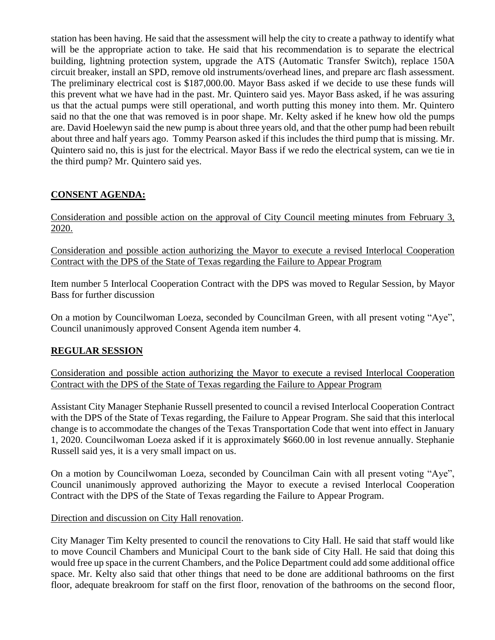station has been having. He said that the assessment will help the city to create a pathway to identify what will be the appropriate action to take. He said that his recommendation is to separate the electrical building, lightning protection system, upgrade the ATS (Automatic Transfer Switch), replace 150A circuit breaker, install an SPD, remove old instruments/overhead lines, and prepare arc flash assessment. The preliminary electrical cost is \$187,000.00. Mayor Bass asked if we decide to use these funds will this prevent what we have had in the past. Mr. Quintero said yes. Mayor Bass asked, if he was assuring us that the actual pumps were still operational, and worth putting this money into them. Mr. Quintero said no that the one that was removed is in poor shape. Mr. Kelty asked if he knew how old the pumps are. David Hoelewyn said the new pump is about three years old, and that the other pump had been rebuilt about three and half years ago. Tommy Pearson asked if this includes the third pump that is missing. Mr. Quintero said no, this is just for the electrical. Mayor Bass if we redo the electrical system, can we tie in the third pump? Mr. Quintero said yes.

# **CONSENT AGENDA:**

Consideration and possible action on the approval of City Council meeting minutes from February 3, 2020.

Consideration and possible action authorizing the Mayor to execute a revised Interlocal Cooperation Contract with the DPS of the State of Texas regarding the Failure to Appear Program

Item number 5 Interlocal Cooperation Contract with the DPS was moved to Regular Session, by Mayor Bass for further discussion

On a motion by Councilwoman Loeza, seconded by Councilman Green, with all present voting "Aye", Council unanimously approved Consent Agenda item number 4.

## **REGULAR SESSION**

Consideration and possible action authorizing the Mayor to execute a revised Interlocal Cooperation Contract with the DPS of the State of Texas regarding the Failure to Appear Program

Assistant City Manager Stephanie Russell presented to council a revised Interlocal Cooperation Contract with the DPS of the State of Texas regarding, the Failure to Appear Program. She said that this interlocal change is to accommodate the changes of the Texas Transportation Code that went into effect in January 1, 2020. Councilwoman Loeza asked if it is approximately \$660.00 in lost revenue annually. Stephanie Russell said yes, it is a very small impact on us.

On a motion by Councilwoman Loeza, seconded by Councilman Cain with all present voting "Aye", Council unanimously approved authorizing the Mayor to execute a revised Interlocal Cooperation Contract with the DPS of the State of Texas regarding the Failure to Appear Program.

## Direction and discussion on City Hall renovation.

City Manager Tim Kelty presented to council the renovations to City Hall. He said that staff would like to move Council Chambers and Municipal Court to the bank side of City Hall. He said that doing this would free up space in the current Chambers, and the Police Department could add some additional office space. Mr. Kelty also said that other things that need to be done are additional bathrooms on the first floor, adequate breakroom for staff on the first floor, renovation of the bathrooms on the second floor,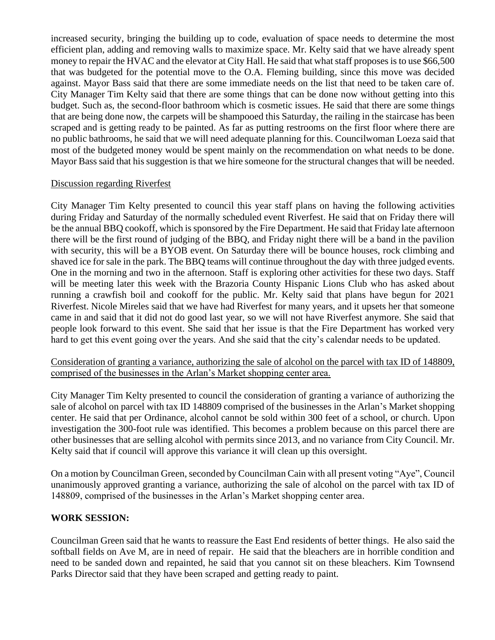increased security, bringing the building up to code, evaluation of space needs to determine the most efficient plan, adding and removing walls to maximize space. Mr. Kelty said that we have already spent money to repair the HVAC and the elevator at City Hall. He said that what staff proposes is to use \$66,500 that was budgeted for the potential move to the O.A. Fleming building, since this move was decided against. Mayor Bass said that there are some immediate needs on the list that need to be taken care of. City Manager Tim Kelty said that there are some things that can be done now without getting into this budget. Such as, the second-floor bathroom which is cosmetic issues. He said that there are some things that are being done now, the carpets will be shampooed this Saturday, the railing in the staircase has been scraped and is getting ready to be painted. As far as putting restrooms on the first floor where there are no public bathrooms, he said that we will need adequate planning for this. Councilwoman Loeza said that most of the budgeted money would be spent mainly on the recommendation on what needs to be done. Mayor Bass said that his suggestion is that we hire someone for the structural changes that will be needed.

### Discussion regarding Riverfest

City Manager Tim Kelty presented to council this year staff plans on having the following activities during Friday and Saturday of the normally scheduled event Riverfest. He said that on Friday there will be the annual BBQ cookoff, which is sponsored by the Fire Department. He said that Friday late afternoon there will be the first round of judging of the BBQ, and Friday night there will be a band in the pavilion with security, this will be a BYOB event. On Saturday there will be bounce houses, rock climbing and shaved ice for sale in the park. The BBQ teams will continue throughout the day with three judged events. One in the morning and two in the afternoon. Staff is exploring other activities for these two days. Staff will be meeting later this week with the Brazoria County Hispanic Lions Club who has asked about running a crawfish boil and cookoff for the public. Mr. Kelty said that plans have begun for 2021 Riverfest. Nicole Mireles said that we have had Riverfest for many years, and it upsets her that someone came in and said that it did not do good last year, so we will not have Riverfest anymore. She said that people look forward to this event. She said that her issue is that the Fire Department has worked very hard to get this event going over the years. And she said that the city's calendar needs to be updated.

### Consideration of granting a variance, authorizing the sale of alcohol on the parcel with tax ID of 148809, comprised of the businesses in the Arlan's Market shopping center area.

City Manager Tim Kelty presented to council the consideration of granting a variance of authorizing the sale of alcohol on parcel with tax ID 148809 comprised of the businesses in the Arlan's Market shopping center. He said that per Ordinance, alcohol cannot be sold within 300 feet of a school, or church. Upon investigation the 300-foot rule was identified. This becomes a problem because on this parcel there are other businesses that are selling alcohol with permits since 2013, and no variance from City Council. Mr. Kelty said that if council will approve this variance it will clean up this oversight.

On a motion by Councilman Green, seconded by Councilman Cain with all present voting "Aye", Council unanimously approved granting a variance, authorizing the sale of alcohol on the parcel with tax ID of 148809, comprised of the businesses in the Arlan's Market shopping center area.

### **WORK SESSION:**

Councilman Green said that he wants to reassure the East End residents of better things. He also said the softball fields on Ave M, are in need of repair. He said that the bleachers are in horrible condition and need to be sanded down and repainted, he said that you cannot sit on these bleachers. Kim Townsend Parks Director said that they have been scraped and getting ready to paint.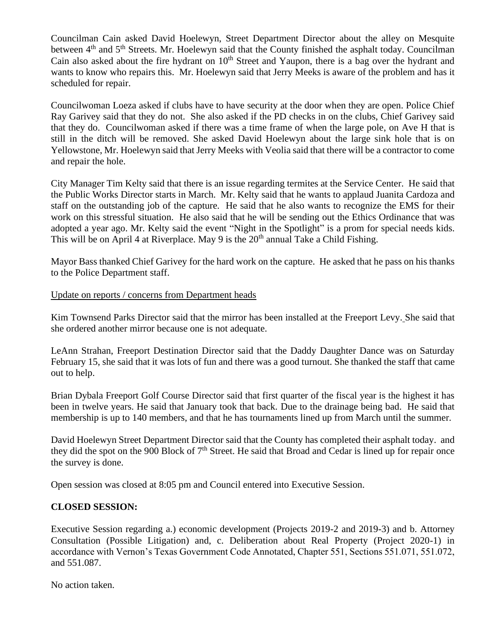Councilman Cain asked David Hoelewyn, Street Department Director about the alley on Mesquite between 4<sup>th</sup> and 5<sup>th</sup> Streets. Mr. Hoelewyn said that the County finished the asphalt today. Councilman Cain also asked about the fire hydrant on  $10<sup>th</sup>$  Street and Yaupon, there is a bag over the hydrant and wants to know who repairs this. Mr. Hoelewyn said that Jerry Meeks is aware of the problem and has it scheduled for repair.

Councilwoman Loeza asked if clubs have to have security at the door when they are open. Police Chief Ray Garivey said that they do not. She also asked if the PD checks in on the clubs, Chief Garivey said that they do. Councilwoman asked if there was a time frame of when the large pole, on Ave H that is still in the ditch will be removed. She asked David Hoelewyn about the large sink hole that is on Yellowstone, Mr. Hoelewyn said that Jerry Meeks with Veolia said that there will be a contractor to come and repair the hole.

City Manager Tim Kelty said that there is an issue regarding termites at the Service Center. He said that the Public Works Director starts in March. Mr. Kelty said that he wants to applaud Juanita Cardoza and staff on the outstanding job of the capture. He said that he also wants to recognize the EMS for their work on this stressful situation. He also said that he will be sending out the Ethics Ordinance that was adopted a year ago. Mr. Kelty said the event "Night in the Spotlight" is a prom for special needs kids. This will be on April 4 at Riverplace. May 9 is the  $20<sup>th</sup>$  annual Take a Child Fishing.

Mayor Bass thanked Chief Garivey for the hard work on the capture. He asked that he pass on his thanks to the Police Department staff.

#### Update on reports / concerns from Department heads

Kim Townsend Parks Director said that the mirror has been installed at the Freeport Levy. She said that she ordered another mirror because one is not adequate.

LeAnn Strahan, Freeport Destination Director said that the Daddy Daughter Dance was on Saturday February 15, she said that it was lots of fun and there was a good turnout. She thanked the staff that came out to help.

Brian Dybala Freeport Golf Course Director said that first quarter of the fiscal year is the highest it has been in twelve years. He said that January took that back. Due to the drainage being bad. He said that membership is up to 140 members, and that he has tournaments lined up from March until the summer.

David Hoelewyn Street Department Director said that the County has completed their asphalt today. and they did the spot on the 900 Block of  $7<sup>th</sup>$  Street. He said that Broad and Cedar is lined up for repair once the survey is done.

Open session was closed at 8:05 pm and Council entered into Executive Session.

### **CLOSED SESSION:**

Executive Session regarding a.) economic development (Projects 2019-2 and 2019-3) and b. Attorney Consultation (Possible Litigation) and, c. Deliberation about Real Property (Project 2020-1) in accordance with Vernon's Texas Government Code Annotated, Chapter 551, Sections 551.071, 551.072, and 551.087.

No action taken.